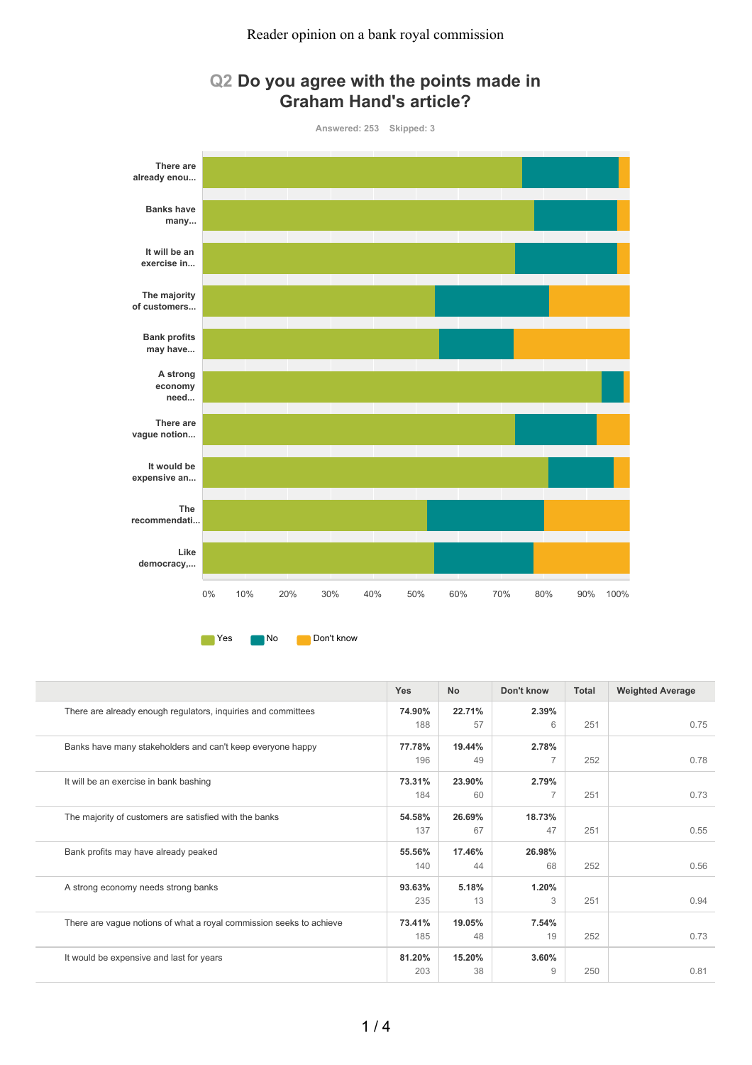

## **Q2 Do you agree with the points made in Graham Hand's article?**

**The Yes No Don't know** 

|                                                                     | Yes    | <b>No</b> | Don't know     | <b>Total</b> | <b>Weighted Average</b> |
|---------------------------------------------------------------------|--------|-----------|----------------|--------------|-------------------------|
| There are already enough regulators, inquiries and committees       | 74.90% | 22.71%    | 2.39%          |              |                         |
|                                                                     | 188    | 57        | 6              | 251          | 0.75                    |
| Banks have many stakeholders and can't keep everyone happy          | 77.78% | 19.44%    | 2.78%          |              |                         |
|                                                                     | 196    | 49        | $\overline{7}$ | 252          | 0.78                    |
| It will be an exercise in bank bashing                              | 73.31% | 23.90%    | 2.79%          |              |                         |
|                                                                     | 184    | 60        | 7              | 251          | 0.73                    |
| The majority of customers are satisfied with the banks              | 54.58% | 26.69%    | 18.73%         |              |                         |
|                                                                     | 137    | 67        | 47             | 251          | 0.55                    |
| Bank profits may have already peaked                                | 55.56% | 17.46%    | 26.98%         |              |                         |
|                                                                     | 140    | 44        | 68             | 252          | 0.56                    |
| A strong economy needs strong banks                                 | 93.63% | 5.18%     | 1.20%          |              |                         |
|                                                                     | 235    | 13        | 3              | 251          | 0.94                    |
| There are vague notions of what a royal commission seeks to achieve | 73.41% | 19.05%    | 7.54%          |              |                         |
|                                                                     | 185    | 48        | 19             | 252          | 0.73                    |
| It would be expensive and last for years                            | 81.20% | 15.20%    | 3.60%          |              |                         |
|                                                                     | 203    | 38        | 9              | 250          | 0.81                    |
|                                                                     |        |           |                |              |                         |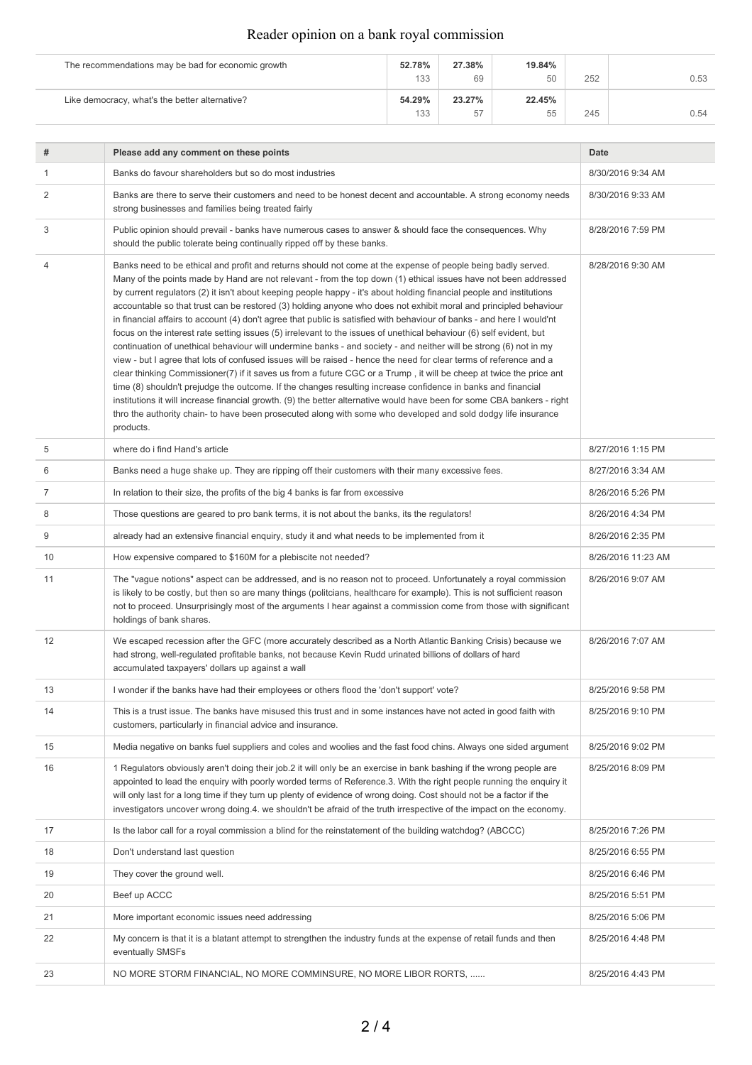## Reader opinion on a bank royal commission

| The recommendations may be bad for economic growth | 52.78% | 27.38% | 19.84% |     |      |
|----------------------------------------------------|--------|--------|--------|-----|------|
|                                                    | 133    | 69     | 50     | 252 | 0.53 |
| Like democracy, what's the better alternative?     | 54.29% | 23.27% | 22.45% |     |      |
|                                                    | 133    | 57     | 55     | 245 | 0.54 |

 $\overline{a}$ 

| #  | Please add any comment on these points                                                                                                                                                                                                                                                                                                                                                                                                                                                                                                                                                                                                                                                                                                                                                                                                                                                                                                                                                                                                                                                                                                                                                                                                                                                                                                                                                                                                                                  | Date               |
|----|-------------------------------------------------------------------------------------------------------------------------------------------------------------------------------------------------------------------------------------------------------------------------------------------------------------------------------------------------------------------------------------------------------------------------------------------------------------------------------------------------------------------------------------------------------------------------------------------------------------------------------------------------------------------------------------------------------------------------------------------------------------------------------------------------------------------------------------------------------------------------------------------------------------------------------------------------------------------------------------------------------------------------------------------------------------------------------------------------------------------------------------------------------------------------------------------------------------------------------------------------------------------------------------------------------------------------------------------------------------------------------------------------------------------------------------------------------------------------|--------------------|
| 1  | Banks do favour shareholders but so do most industries                                                                                                                                                                                                                                                                                                                                                                                                                                                                                                                                                                                                                                                                                                                                                                                                                                                                                                                                                                                                                                                                                                                                                                                                                                                                                                                                                                                                                  | 8/30/2016 9:34 AM  |
| 2  | Banks are there to serve their customers and need to be honest decent and accountable. A strong economy needs<br>strong businesses and families being treated fairly                                                                                                                                                                                                                                                                                                                                                                                                                                                                                                                                                                                                                                                                                                                                                                                                                                                                                                                                                                                                                                                                                                                                                                                                                                                                                                    | 8/30/2016 9:33 AM  |
| 3  | Public opinion should prevail - banks have numerous cases to answer & should face the consequences. Why<br>should the public tolerate being continually ripped off by these banks.                                                                                                                                                                                                                                                                                                                                                                                                                                                                                                                                                                                                                                                                                                                                                                                                                                                                                                                                                                                                                                                                                                                                                                                                                                                                                      | 8/28/2016 7:59 PM  |
| 4  | Banks need to be ethical and profit and returns should not come at the expense of people being badly served.<br>Many of the points made by Hand are not relevant - from the top down (1) ethical issues have not been addressed<br>by current regulators (2) it isn't about keeping people happy - it's about holding financial people and institutions<br>accountable so that trust can be restored (3) holding anyone who does not exhibit moral and principled behaviour<br>in financial affairs to account (4) don't agree that public is satisfied with behaviour of banks - and here I would'nt<br>focus on the interest rate setting issues (5) irrelevant to the issues of unethical behaviour (6) self evident, but<br>continuation of unethical behaviour will undermine banks - and society - and neither will be strong (6) not in my<br>view - but I agree that lots of confused issues will be raised - hence the need for clear terms of reference and a<br>clear thinking Commissioner(7) if it saves us from a future CGC or a Trump, it will be cheep at twice the price ant<br>time (8) shouldn't prejudge the outcome. If the changes resulting increase confidence in banks and financial<br>institutions it will increase financial growth. (9) the better alternative would have been for some CBA bankers - right<br>thro the authority chain- to have been prosecuted along with some who developed and sold dodgy life insurance<br>products. | 8/28/2016 9:30 AM  |
| 5  | where do i find Hand's article                                                                                                                                                                                                                                                                                                                                                                                                                                                                                                                                                                                                                                                                                                                                                                                                                                                                                                                                                                                                                                                                                                                                                                                                                                                                                                                                                                                                                                          | 8/27/2016 1:15 PM  |
| 6  | Banks need a huge shake up. They are ripping off their customers with their many excessive fees.                                                                                                                                                                                                                                                                                                                                                                                                                                                                                                                                                                                                                                                                                                                                                                                                                                                                                                                                                                                                                                                                                                                                                                                                                                                                                                                                                                        | 8/27/2016 3:34 AM  |
| 7  | In relation to their size, the profits of the big 4 banks is far from excessive                                                                                                                                                                                                                                                                                                                                                                                                                                                                                                                                                                                                                                                                                                                                                                                                                                                                                                                                                                                                                                                                                                                                                                                                                                                                                                                                                                                         | 8/26/2016 5:26 PM  |
| 8  | Those questions are geared to pro bank terms, it is not about the banks, its the regulators!                                                                                                                                                                                                                                                                                                                                                                                                                                                                                                                                                                                                                                                                                                                                                                                                                                                                                                                                                                                                                                                                                                                                                                                                                                                                                                                                                                            | 8/26/2016 4:34 PM  |
| 9  | already had an extensive financial enguiry, study it and what needs to be implemented from it                                                                                                                                                                                                                                                                                                                                                                                                                                                                                                                                                                                                                                                                                                                                                                                                                                                                                                                                                                                                                                                                                                                                                                                                                                                                                                                                                                           | 8/26/2016 2:35 PM  |
| 10 | How expensive compared to \$160M for a plebiscite not needed?                                                                                                                                                                                                                                                                                                                                                                                                                                                                                                                                                                                                                                                                                                                                                                                                                                                                                                                                                                                                                                                                                                                                                                                                                                                                                                                                                                                                           | 8/26/2016 11:23 AM |
| 11 | The "vague notions" aspect can be addressed, and is no reason not to proceed. Unfortunately a royal commission<br>is likely to be costly, but then so are many things (politcians, healthcare for example). This is not sufficient reason<br>not to proceed. Unsurprisingly most of the arguments I hear against a commission come from those with significant<br>holdings of bank shares.                                                                                                                                                                                                                                                                                                                                                                                                                                                                                                                                                                                                                                                                                                                                                                                                                                                                                                                                                                                                                                                                              | 8/26/2016 9:07 AM  |
| 12 | We escaped recession after the GFC (more accurately described as a North Atlantic Banking Crisis) because we<br>had strong, well-regulated profitable banks, not because Kevin Rudd urinated billions of dollars of hard<br>accumulated taxpayers' dollars up against a wall                                                                                                                                                                                                                                                                                                                                                                                                                                                                                                                                                                                                                                                                                                                                                                                                                                                                                                                                                                                                                                                                                                                                                                                            | 8/26/2016 7:07 AM  |
| 13 | I wonder if the banks have had their employees or others flood the 'don't support' vote?                                                                                                                                                                                                                                                                                                                                                                                                                                                                                                                                                                                                                                                                                                                                                                                                                                                                                                                                                                                                                                                                                                                                                                                                                                                                                                                                                                                | 8/25/2016 9:58 PM  |
| 14 | This is a trust issue. The banks have misused this trust and in some instances have not acted in good faith with<br>customers, particularly in financial advice and insurance.                                                                                                                                                                                                                                                                                                                                                                                                                                                                                                                                                                                                                                                                                                                                                                                                                                                                                                                                                                                                                                                                                                                                                                                                                                                                                          | 8/25/2016 9:10 PM  |
| 15 | Media negative on banks fuel suppliers and coles and woolies and the fast food chins. Always one sided argument                                                                                                                                                                                                                                                                                                                                                                                                                                                                                                                                                                                                                                                                                                                                                                                                                                                                                                                                                                                                                                                                                                                                                                                                                                                                                                                                                         | 8/25/2016 9:02 PM  |
| 16 | 1 Regulators obviously aren't doing their job.2 it will only be an exercise in bank bashing if the wrong people are<br>appointed to lead the enquiry with poorly worded terms of Reference.3. With the right people running the enquiry it<br>will only last for a long time if they turn up plenty of evidence of wrong doing. Cost should not be a factor if the<br>investigators uncover wrong doing.4. we shouldn't be afraid of the truth irrespective of the impact on the economy.                                                                                                                                                                                                                                                                                                                                                                                                                                                                                                                                                                                                                                                                                                                                                                                                                                                                                                                                                                               | 8/25/2016 8:09 PM  |
| 17 | Is the labor call for a royal commission a blind for the reinstatement of the building watchdog? (ABCCC)                                                                                                                                                                                                                                                                                                                                                                                                                                                                                                                                                                                                                                                                                                                                                                                                                                                                                                                                                                                                                                                                                                                                                                                                                                                                                                                                                                | 8/25/2016 7:26 PM  |
| 18 | Don't understand last question                                                                                                                                                                                                                                                                                                                                                                                                                                                                                                                                                                                                                                                                                                                                                                                                                                                                                                                                                                                                                                                                                                                                                                                                                                                                                                                                                                                                                                          | 8/25/2016 6:55 PM  |
| 19 | They cover the ground well.                                                                                                                                                                                                                                                                                                                                                                                                                                                                                                                                                                                                                                                                                                                                                                                                                                                                                                                                                                                                                                                                                                                                                                                                                                                                                                                                                                                                                                             | 8/25/2016 6:46 PM  |
| 20 | Beef up ACCC                                                                                                                                                                                                                                                                                                                                                                                                                                                                                                                                                                                                                                                                                                                                                                                                                                                                                                                                                                                                                                                                                                                                                                                                                                                                                                                                                                                                                                                            | 8/25/2016 5:51 PM  |
| 21 | More important economic issues need addressing                                                                                                                                                                                                                                                                                                                                                                                                                                                                                                                                                                                                                                                                                                                                                                                                                                                                                                                                                                                                                                                                                                                                                                                                                                                                                                                                                                                                                          | 8/25/2016 5:06 PM  |
| 22 | My concern is that it is a blatant attempt to strengthen the industry funds at the expense of retail funds and then<br>eventually SMSFs                                                                                                                                                                                                                                                                                                                                                                                                                                                                                                                                                                                                                                                                                                                                                                                                                                                                                                                                                                                                                                                                                                                                                                                                                                                                                                                                 | 8/25/2016 4:48 PM  |
| 23 | NO MORE STORM FINANCIAL, NO MORE COMMINSURE, NO MORE LIBOR RORTS,                                                                                                                                                                                                                                                                                                                                                                                                                                                                                                                                                                                                                                                                                                                                                                                                                                                                                                                                                                                                                                                                                                                                                                                                                                                                                                                                                                                                       | 8/25/2016 4:43 PM  |
|    |                                                                                                                                                                                                                                                                                                                                                                                                                                                                                                                                                                                                                                                                                                                                                                                                                                                                                                                                                                                                                                                                                                                                                                                                                                                                                                                                                                                                                                                                         |                    |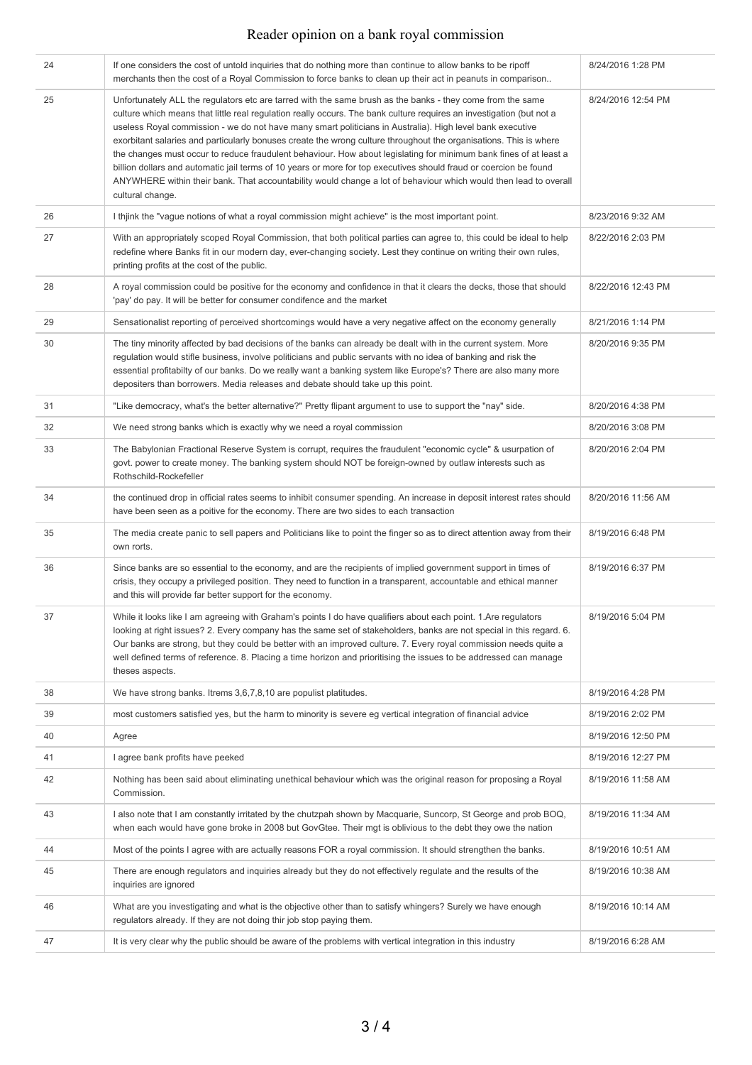## Reader opinion on a bank royal commission

| 24 | If one considers the cost of untold inquiries that do nothing more than continue to allow banks to be ripoff<br>merchants then the cost of a Royal Commission to force banks to clean up their act in peanuts in comparison                                                                                                                                                                                                                                                                                                                                                                                                                                                                                                                                                                                                                            | 8/24/2016 1:28 PM  |
|----|--------------------------------------------------------------------------------------------------------------------------------------------------------------------------------------------------------------------------------------------------------------------------------------------------------------------------------------------------------------------------------------------------------------------------------------------------------------------------------------------------------------------------------------------------------------------------------------------------------------------------------------------------------------------------------------------------------------------------------------------------------------------------------------------------------------------------------------------------------|--------------------|
| 25 | Unfortunately ALL the regulators etc are tarred with the same brush as the banks - they come from the same<br>culture which means that little real regulation really occurs. The bank culture requires an investigation (but not a<br>useless Royal commission - we do not have many smart politicians in Australia). High level bank executive<br>exorbitant salaries and particularly bonuses create the wrong culture throughout the organisations. This is where<br>the changes must occur to reduce fraudulent behaviour. How about legislating for minimum bank fines of at least a<br>billion dollars and automatic jail terms of 10 years or more for top executives should fraud or coercion be found<br>ANYWHERE within their bank. That accountability would change a lot of behaviour which would then lead to overall<br>cultural change. | 8/24/2016 12:54 PM |
| 26 | I thjink the "vague notions of what a royal commission might achieve" is the most important point.                                                                                                                                                                                                                                                                                                                                                                                                                                                                                                                                                                                                                                                                                                                                                     | 8/23/2016 9:32 AM  |
| 27 | With an appropriately scoped Royal Commission, that both political parties can agree to, this could be ideal to help<br>redefine where Banks fit in our modern day, ever-changing society. Lest they continue on writing their own rules,<br>printing profits at the cost of the public.                                                                                                                                                                                                                                                                                                                                                                                                                                                                                                                                                               | 8/22/2016 2:03 PM  |
| 28 | A royal commission could be positive for the economy and confidence in that it clears the decks, those that should<br>'pay' do pay. It will be better for consumer condifence and the market                                                                                                                                                                                                                                                                                                                                                                                                                                                                                                                                                                                                                                                           | 8/22/2016 12:43 PM |
| 29 | Sensationalist reporting of perceived shortcomings would have a very negative affect on the economy generally                                                                                                                                                                                                                                                                                                                                                                                                                                                                                                                                                                                                                                                                                                                                          | 8/21/2016 1:14 PM  |
| 30 | The tiny minority affected by bad decisions of the banks can already be dealt with in the current system. More<br>regulation would stifle business, involve politicians and public servants with no idea of banking and risk the<br>essential profitabilty of our banks. Do we really want a banking system like Europe's? There are also many more<br>depositers than borrowers. Media releases and debate should take up this point.                                                                                                                                                                                                                                                                                                                                                                                                                 | 8/20/2016 9:35 PM  |
| 31 | "Like democracy, what's the better alternative?" Pretty flipant argument to use to support the "nay" side.                                                                                                                                                                                                                                                                                                                                                                                                                                                                                                                                                                                                                                                                                                                                             | 8/20/2016 4:38 PM  |
| 32 | We need strong banks which is exactly why we need a royal commission                                                                                                                                                                                                                                                                                                                                                                                                                                                                                                                                                                                                                                                                                                                                                                                   | 8/20/2016 3:08 PM  |
| 33 | The Babylonian Fractional Reserve System is corrupt, requires the fraudulent "economic cycle" & usurpation of<br>govt. power to create money. The banking system should NOT be foreign-owned by outlaw interests such as<br>Rothschild-Rockefeller                                                                                                                                                                                                                                                                                                                                                                                                                                                                                                                                                                                                     | 8/20/2016 2:04 PM  |
| 34 | the continued drop in official rates seems to inhibit consumer spending. An increase in deposit interest rates should<br>have been seen as a poitive for the economy. There are two sides to each transaction                                                                                                                                                                                                                                                                                                                                                                                                                                                                                                                                                                                                                                          | 8/20/2016 11:56 AM |
| 35 | The media create panic to sell papers and Politicians like to point the finger so as to direct attention away from their<br>own rorts.                                                                                                                                                                                                                                                                                                                                                                                                                                                                                                                                                                                                                                                                                                                 | 8/19/2016 6:48 PM  |
| 36 | Since banks are so essential to the economy, and are the recipients of implied government support in times of<br>crisis, they occupy a privileged position. They need to function in a transparent, accountable and ethical manner<br>and this will provide far better support for the economy.                                                                                                                                                                                                                                                                                                                                                                                                                                                                                                                                                        | 8/19/2016 6:37 PM  |
| 37 | While it looks like I am agreeing with Graham's points I do have qualifiers about each point. 1.Are regulators<br>looking at right issues? 2. Every company has the same set of stakeholders, banks are not special in this regard. 6.<br>Our banks are strong, but they could be better with an improved culture. 7. Every royal commission needs quite a<br>well defined terms of reference. 8. Placing a time horizon and prioritising the issues to be addressed can manage<br>theses aspects.                                                                                                                                                                                                                                                                                                                                                     | 8/19/2016 5:04 PM  |
| 38 | We have strong banks. Itrems 3,6,7,8,10 are populist platitudes.                                                                                                                                                                                                                                                                                                                                                                                                                                                                                                                                                                                                                                                                                                                                                                                       | 8/19/2016 4:28 PM  |
| 39 | most customers satisfied yes, but the harm to minority is severe eg vertical integration of financial advice                                                                                                                                                                                                                                                                                                                                                                                                                                                                                                                                                                                                                                                                                                                                           | 8/19/2016 2:02 PM  |
| 40 | Agree                                                                                                                                                                                                                                                                                                                                                                                                                                                                                                                                                                                                                                                                                                                                                                                                                                                  | 8/19/2016 12:50 PM |
| 41 | I agree bank profits have peeked                                                                                                                                                                                                                                                                                                                                                                                                                                                                                                                                                                                                                                                                                                                                                                                                                       | 8/19/2016 12:27 PM |
| 42 | Nothing has been said about eliminating unethical behaviour which was the original reason for proposing a Royal<br>Commission.                                                                                                                                                                                                                                                                                                                                                                                                                                                                                                                                                                                                                                                                                                                         | 8/19/2016 11:58 AM |
| 43 | I also note that I am constantly irritated by the chutzpah shown by Macquarie, Suncorp, St George and prob BOQ,<br>when each would have gone broke in 2008 but GovGtee. Their mgt is oblivious to the debt they owe the nation                                                                                                                                                                                                                                                                                                                                                                                                                                                                                                                                                                                                                         | 8/19/2016 11:34 AM |
| 44 | Most of the points I agree with are actually reasons FOR a royal commission. It should strengthen the banks.                                                                                                                                                                                                                                                                                                                                                                                                                                                                                                                                                                                                                                                                                                                                           | 8/19/2016 10:51 AM |
| 45 | There are enough regulators and inquiries already but they do not effectively regulate and the results of the<br>inquiries are ignored                                                                                                                                                                                                                                                                                                                                                                                                                                                                                                                                                                                                                                                                                                                 | 8/19/2016 10:38 AM |
| 46 | What are you investigating and what is the objective other than to satisfy whingers? Surely we have enough<br>regulators already. If they are not doing thir job stop paying them.                                                                                                                                                                                                                                                                                                                                                                                                                                                                                                                                                                                                                                                                     | 8/19/2016 10:14 AM |
| 47 | It is very clear why the public should be aware of the problems with vertical integration in this industry                                                                                                                                                                                                                                                                                                                                                                                                                                                                                                                                                                                                                                                                                                                                             | 8/19/2016 6:28 AM  |